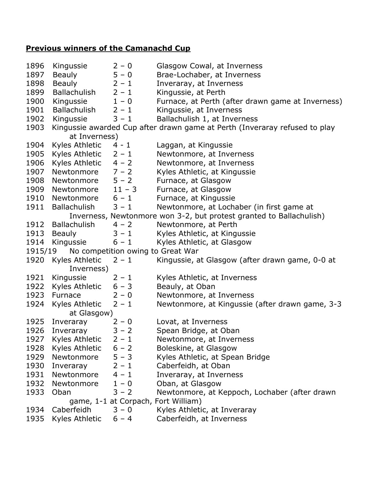## **Previous winners of the Camanachd Cup**

| 1896                                                                | Kingussie                 | $2 - 0$ | Glasgow Cowal, at Inverness                                                |  |  |  |
|---------------------------------------------------------------------|---------------------------|---------|----------------------------------------------------------------------------|--|--|--|
| 1897                                                                | Beauly                    | $5 - 0$ | Brae-Lochaber, at Inverness                                                |  |  |  |
| 1898                                                                | <b>Beauly</b>             | $2 - 1$ | Inveraray, at Inverness                                                    |  |  |  |
| 1899                                                                | Ballachulish              | $2 - 1$ | Kingussie, at Perth                                                        |  |  |  |
| 1900                                                                | Kingussie                 | $1 - 0$ | Furnace, at Perth (after drawn game at Inverness)                          |  |  |  |
| 1901                                                                | Ballachulish              | $2 - 1$ | Kingussie, at Inverness                                                    |  |  |  |
| 1902                                                                | Kingussie                 | $3 - 1$ | Ballachulish 1, at Inverness                                               |  |  |  |
| 1903                                                                |                           |         | Kingussie awarded Cup after drawn game at Perth (Inveraray refused to play |  |  |  |
|                                                                     | at Inverness)             |         |                                                                            |  |  |  |
| 1904                                                                | Kyles Athletic            | $4 - 1$ | Laggan, at Kingussie                                                       |  |  |  |
| 1905                                                                | Kyles Athletic            | $2 - 1$ | Newtonmore, at Inverness                                                   |  |  |  |
| 1906                                                                | Kyles Athletic $4 - 2$    |         | Newtonmore, at Inverness                                                   |  |  |  |
| 1907                                                                | Newtonmore $7 - 2$        |         | Kyles Athletic, at Kingussie                                               |  |  |  |
| 1908                                                                | Newtonmore $5 - 2$        |         | Furnace, at Glasgow                                                        |  |  |  |
| 1909                                                                | Newtonmore $11 - 3$       |         | Furnace, at Glasgow                                                        |  |  |  |
| 1910                                                                | Newtonmore $6 - 1$        |         | Furnace, at Kingussie                                                      |  |  |  |
| 1911                                                                | Ballachulish              | $3 - 1$ | Newtonmore, at Lochaber (in first game at                                  |  |  |  |
| Inverness, Newtonmore won 3-2, but protest granted to Ballachulish) |                           |         |                                                                            |  |  |  |
| 1912                                                                | <b>Ballachulish</b>       | $4 - 2$ | Newtonmore, at Perth                                                       |  |  |  |
| 1913                                                                | <b>Beauly</b>             | $3 - 1$ | Kyles Athletic, at Kingussie                                               |  |  |  |
| 1914                                                                | Kingussie                 | $6 - 1$ | Kyles Athletic, at Glasgow                                                 |  |  |  |
| 1915/19<br>No competition owing to Great War                        |                           |         |                                                                            |  |  |  |
|                                                                     | 1920 Kyles Athletic       | $2 - 1$ | Kingussie, at Glasgow (after drawn game, 0-0 at                            |  |  |  |
|                                                                     | Inverness)                |         |                                                                            |  |  |  |
| 1921                                                                | Kingussie                 | $2 - 1$ | Kyles Athletic, at Inverness                                               |  |  |  |
| 1922                                                                | Kyles Athletic $6 - 3$    |         | Beauly, at Oban                                                            |  |  |  |
| 1923                                                                | Furnace                   | $2 - 0$ | Newtonmore, at Inverness                                                   |  |  |  |
| 1924                                                                | Kyles Athletic $2 - 1$    |         | Newtonmore, at Kingussie (after drawn game, 3-3                            |  |  |  |
|                                                                     | at Glasgow)               |         |                                                                            |  |  |  |
| 1925                                                                | Inveraray                 | $2 - 0$ | Lovat, at Inverness                                                        |  |  |  |
| 1926                                                                | Inveraray                 | $3 - 2$ | Spean Bridge, at Oban                                                      |  |  |  |
|                                                                     | 1927 Kyles Athletic 2 - 1 |         | Newtonmore, at Inverness                                                   |  |  |  |
| 1928                                                                | Kyles Athletic $6 - 2$    |         | Boleskine, at Glasgow                                                      |  |  |  |
| 1929                                                                | Newtonmore $5 - 3$        |         | Kyles Athletic, at Spean Bridge                                            |  |  |  |
| 1930                                                                | Inveraray                 | $2 - 1$ | Caberfeidh, at Oban                                                        |  |  |  |
| 1931                                                                | Newtonmore $4 - 1$        |         | Inveraray, at Inverness                                                    |  |  |  |
| 1932                                                                | Newtonmore $1 - 0$        |         | Oban, at Glasgow                                                           |  |  |  |
| 1933                                                                | Oban                      | $3 - 2$ | Newtonmore, at Keppoch, Lochaber (after drawn                              |  |  |  |
|                                                                     |                           |         | game, 1-1 at Corpach, Fort William)                                        |  |  |  |
| 1934                                                                | Caberfeidh                | $3 - 0$ | Kyles Athletic, at Inveraray                                               |  |  |  |
| 1935                                                                | Kyles Athletic $6 - 4$    |         | Caberfeidh, at Inverness                                                   |  |  |  |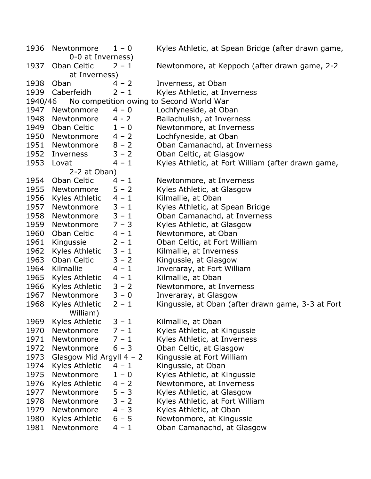1936 Newtonmore  $1 - 0$  Kyles Athletic, at Spean Bridge (after drawn game, 0-0 at Inverness) 1937 Oban Celtic 2 – 1 Newtonmore, at Keppoch (after drawn game, 2-2 at Inverness) 1938 Oban 4 – 2 Inverness, at Oban 1939 Caberfeidh 2 – 1 Kyles Athletic, at Inverness 1940/46 No competition owing to Second World War 1947 Newtonmore 4 – 0 Lochfyneside, at Oban 1948 Newtonmore 4 - 2 Ballachulish, at Inverness 1949 Oban Celtic  $1 - 0$  Newtonmore, at Inverness 1950 Newtonmore 4 – 2 Lochfyneside, at Oban 1951 Newtonmore 8 - 2 Oban Camanachd, at Inverness 1952 Inverness 3 – 2 Oban Celtic, at Glasgow 1953 Lovat  $4 - 1$  Kyles Athletic, at Fort William (after drawn game, 2-2 at Oban) 1954 Oban Celtic  $4 - 1$  Newtonmore, at Inverness 1955 Newtonmore 5 – 2 Kyles Athletic, at Glasgow 1956 Kyles Athletic  $4 - 1$  Kilmallie, at Oban 1957 Newtonmore  $3 - 1$  Kyles Athletic, at Spean Bridge 1958 Newtonmore  $3 - 1$  Oban Camanachd, at Inverness 1959 Newtonmore 7 – 3 Kyles Athletic, at Glasgow 1960 Oban Celtic 4 – 1 Newtonmore, at Oban 1961 Kingussie 2 – 1 Oban Celtic, at Fort William 1962 Kyles Athletic  $3 - 1$  Kilmallie, at Inverness 1963 Oban Celtic 3 – 2 Kingussie, at Glasgow 1964 Kilmallie  $4 - 1$  Inveraray, at Fort William 1965 Kyles Athletic  $4 - 1$  Kilmallie, at Oban 1966 Kyles Athletic 3 – 2 Newtonmore, at Inverness 1967 Newtonmore 3 – 0 Inveraray, at Glasgow 1968 Kyles Athletic  $2 - 1$  Kingussie, at Oban (after drawn game, 3-3 at Fort William) 1969 Kyles Athletic  $3 - 1$  Kilmallie, at Oban 1970 Newtonmore  $7 - 1$  Kyles Athletic, at Kingussie 1971 Newtonmore  $7 - 1$  Kyles Athletic, at Inverness 1972 Newtonmore 6 – 3 Oban Celtic, at Glasgow 1973 Glasgow Mid Argyll  $4 - 2$  Kingussie at Fort William 1974 Kyles Athletic  $4 - 1$  Kingussie, at Oban 1975 Newtonmore  $1 - 0$  Kyles Athletic, at Kingussie 1976 Kyles Athletic 4 – 2 Newtonmore, at Inverness 1977 Newtonmore  $5 - 3$  Kyles Athletic, at Glasgow 1978 Newtonmore  $3 - 2$  Kyles Athletic, at Fort William 1979 Newtonmore 4 – 3 Kyles Athletic, at Oban 1980 Kyles Athletic 6 – 5 Newtonmore, at Kingussie 1981 Newtonmore 4 – 1 Oban Camanachd, at Glasgow